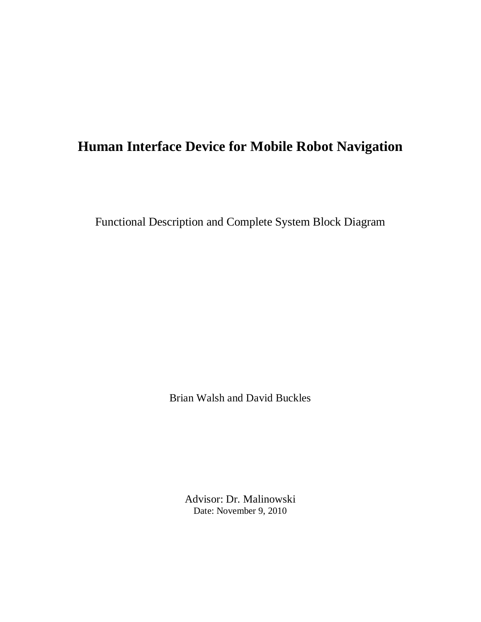# **Human Interface Device for Mobile Robot Navigation**

Functional Description and Complete System Block Diagram

Brian Walsh and David Buckles

Advisor: Dr. Malinowski Date: November 9, 2010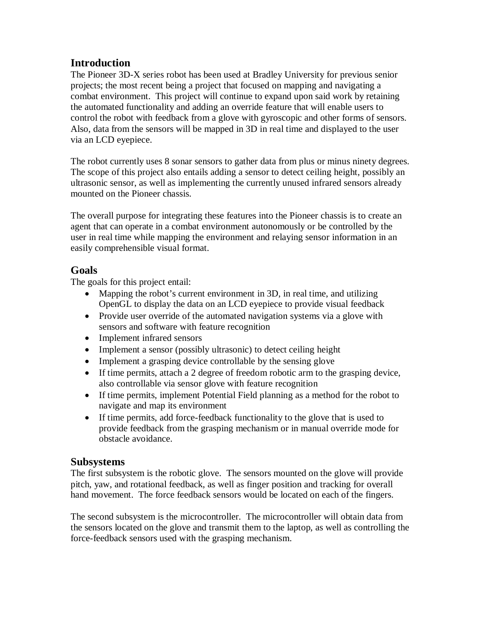# **Introduction**

The Pioneer 3D-X series robot has been used at Bradley University for previous senior projects; the most recent being a project that focused on mapping and navigating a combat environment. This project will continue to expand upon said work by retaining the automated functionality and adding an override feature that will enable users to control the robot with feedback from a glove with gyroscopic and other forms of sensors. Also, data from the sensors will be mapped in 3D in real time and displayed to the user via an LCD eyepiece.

The robot currently uses 8 sonar sensors to gather data from plus or minus ninety degrees. The scope of this project also entails adding a sensor to detect ceiling height, possibly an ultrasonic sensor, as well as implementing the currently unused infrared sensors already mounted on the Pioneer chassis.

The overall purpose for integrating these features into the Pioneer chassis is to create an agent that can operate in a combat environment autonomously or be controlled by the user in real time while mapping the environment and relaying sensor information in an easily comprehensible visual format.

# **Goals**

The goals for this project entail:

- Mapping the robot's current environment in 3D, in real time, and utilizing OpenGL to display the data on an LCD eyepiece to provide visual feedback
- Provide user override of the automated navigation systems via a glove with sensors and software with feature recognition
- Implement infrared sensors
- Implement a sensor (possibly ultrasonic) to detect ceiling height
- Implement a grasping device controllable by the sensing glove
- If time permits, attach a 2 degree of freedom robotic arm to the grasping device, also controllable via sensor glove with feature recognition
- If time permits, implement Potential Field planning as a method for the robot to navigate and map its environment
- If time permits, add force-feedback functionality to the glove that is used to provide feedback from the grasping mechanism or in manual override mode for obstacle avoidance.

# **Subsystems**

The first subsystem is the robotic glove. The sensors mounted on the glove will provide pitch, yaw, and rotational feedback, as well as finger position and tracking for overall hand movement. The force feedback sensors would be located on each of the fingers.

The second subsystem is the microcontroller. The microcontroller will obtain data from the sensors located on the glove and transmit them to the laptop, as well as controlling the force-feedback sensors used with the grasping mechanism.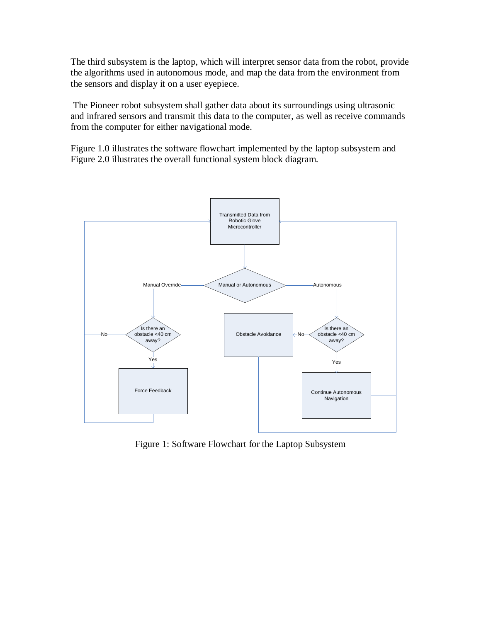The third subsystem is the laptop, which will interpret sensor data from the robot, provide the algorithms used in autonomous mode, and map the data from the environment from the sensors and display it on a user eyepiece.

 The Pioneer robot subsystem shall gather data about its surroundings using ultrasonic and infrared sensors and transmit this data to the computer, as well as receive commands from the computer for either navigational mode.

Figure 1.0 illustrates the software flowchart implemented by the laptop subsystem and Figure 2.0 illustrates the overall functional system block diagram.



Figure 1: Software Flowchart for the Laptop Subsystem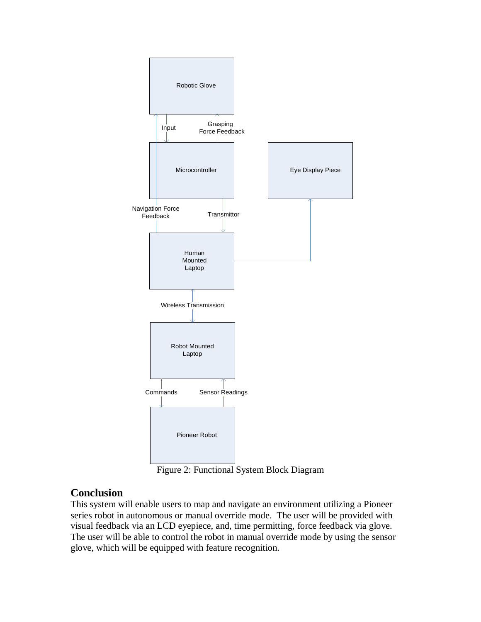

Figure 2: Functional System Block Diagram

#### **Conclusion**

This system will enable users to map and navigate an environment utilizing a Pioneer series robot in autonomous or manual override mode. The user will be provided with visual feedback via an LCD eyepiece, and, time permitting, force feedback via glove. The user will be able to control the robot in manual override mode by using the sensor glove, which will be equipped with feature recognition.